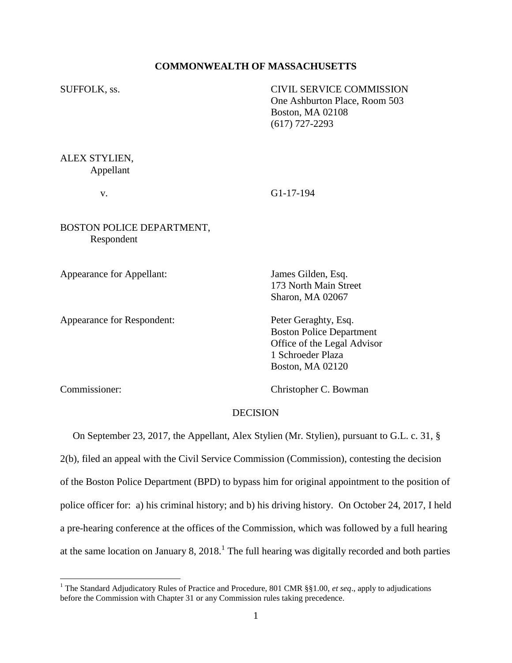## **COMMONWEALTH OF MASSACHUSETTS**

SUFFOLK, ss. CIVIL SERVICE COMMISSION One Ashburton Place, Room 503 Boston, MA 02108 (617) 727-2293

ALEX STYLIEN, Appellant

v. G1-17-194

BOSTON POLICE DEPARTMENT, Respondent

Appearance for Appellant: James Gilden, Esq.

Appearance for Respondent: Peter Geraghty, Esq.

173 North Main Street Sharon, MA 02067

Boston Police Department Office of the Legal Advisor 1 Schroeder Plaza Boston, MA 02120

 $\overline{a}$ 

Commissioner: Christopher C. Bowman

# **DECISION**

 On September 23, 2017, the Appellant, Alex Stylien (Mr. Stylien), pursuant to G.L. c. 31, § 2(b), filed an appeal with the Civil Service Commission (Commission), contesting the decision of the Boston Police Department (BPD) to bypass him for original appointment to the position of police officer for: a) his criminal history; and b) his driving history. On October 24, 2017, I held a pre-hearing conference at the offices of the Commission, which was followed by a full hearing at the same location on January 8,  $2018<sup>1</sup>$ . The full hearing was digitally recorded and both parties

<sup>&</sup>lt;sup>1</sup> The Standard Adjudicatory Rules of Practice and Procedure, 801 CMR §§1.00, *et seq.*, apply to adjudications before the Commission with Chapter 31 or any Commission rules taking precedence.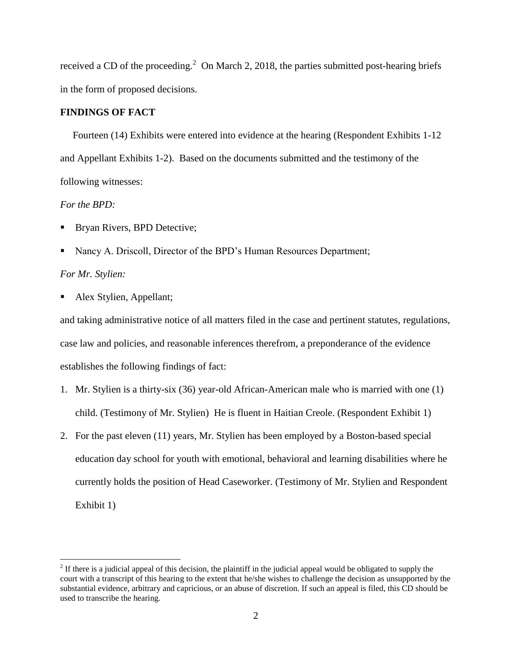received a CD of the proceeding.<sup>2</sup> On March 2, 2018, the parties submitted post-hearing briefs in the form of proposed decisions.

# **FINDINGS OF FACT**

 Fourteen (14) Exhibits were entered into evidence at the hearing (Respondent Exhibits 1-12 and Appellant Exhibits 1-2). Based on the documents submitted and the testimony of the following witnesses:

# *For the BPD:*

- Bryan Rivers, BPD Detective;
- Nancy A. Driscoll, Director of the BPD's Human Resources Department;

# *For Mr. Stylien:*

 $\overline{a}$ 

Alex Stylien, Appellant;

and taking administrative notice of all matters filed in the case and pertinent statutes, regulations, case law and policies, and reasonable inferences therefrom, a preponderance of the evidence establishes the following findings of fact:

- 1. Mr. Stylien is a thirty-six (36) year-old African-American male who is married with one (1) child. (Testimony of Mr. Stylien) He is fluent in Haitian Creole. (Respondent Exhibit 1)
- 2. For the past eleven (11) years, Mr. Stylien has been employed by a Boston-based special education day school for youth with emotional, behavioral and learning disabilities where he currently holds the position of Head Caseworker. (Testimony of Mr. Stylien and Respondent Exhibit 1)

 $2<sup>2</sup>$  If there is a judicial appeal of this decision, the plaintiff in the judicial appeal would be obligated to supply the court with a transcript of this hearing to the extent that he/she wishes to challenge the decision as unsupported by the substantial evidence, arbitrary and capricious, or an abuse of discretion. If such an appeal is filed, this CD should be used to transcribe the hearing.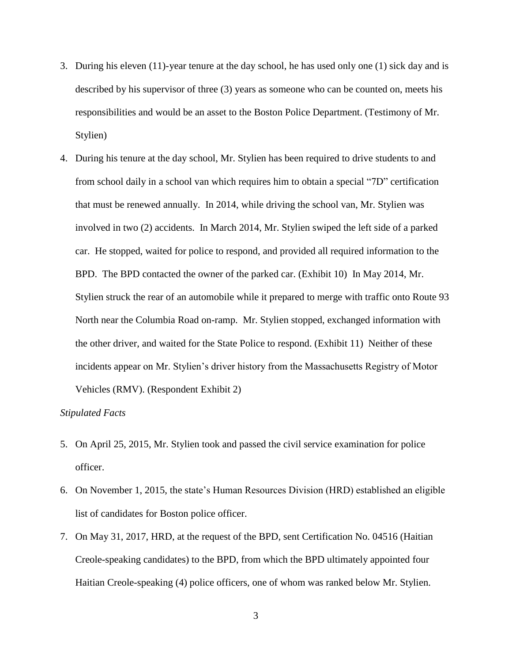- 3. During his eleven (11)-year tenure at the day school, he has used only one (1) sick day and is described by his supervisor of three (3) years as someone who can be counted on, meets his responsibilities and would be an asset to the Boston Police Department. (Testimony of Mr. Stylien)
- 4. During his tenure at the day school, Mr. Stylien has been required to drive students to and from school daily in a school van which requires him to obtain a special "7D" certification that must be renewed annually. In 2014, while driving the school van, Mr. Stylien was involved in two (2) accidents. In March 2014, Mr. Stylien swiped the left side of a parked car. He stopped, waited for police to respond, and provided all required information to the BPD. The BPD contacted the owner of the parked car. (Exhibit 10) In May 2014, Mr. Stylien struck the rear of an automobile while it prepared to merge with traffic onto Route 93 North near the Columbia Road on-ramp. Mr. Stylien stopped, exchanged information with the other driver, and waited for the State Police to respond. (Exhibit 11) Neither of these incidents appear on Mr. Stylien's driver history from the Massachusetts Registry of Motor Vehicles (RMV). (Respondent Exhibit 2)

## *Stipulated Facts*

- 5. On April 25, 2015, Mr. Stylien took and passed the civil service examination for police officer.
- 6. On November 1, 2015, the state's Human Resources Division (HRD) established an eligible list of candidates for Boston police officer.
- 7. On May 31, 2017, HRD, at the request of the BPD, sent Certification No. 04516 (Haitian Creole-speaking candidates) to the BPD, from which the BPD ultimately appointed four Haitian Creole-speaking (4) police officers, one of whom was ranked below Mr. Stylien.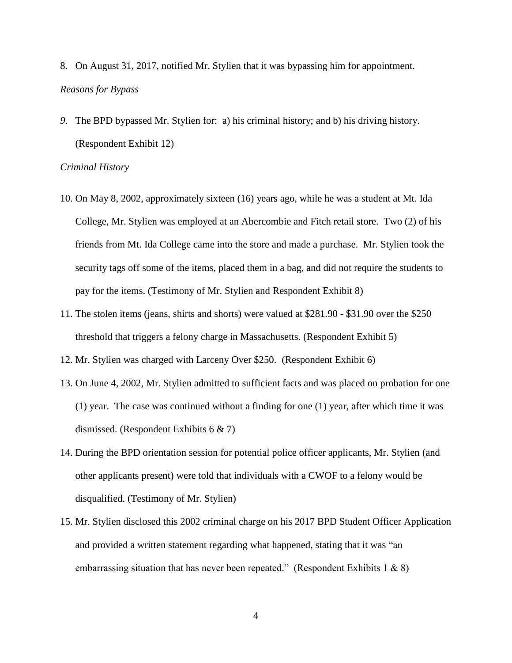- 8. On August 31, 2017, notified Mr. Stylien that it was bypassing him for appointment. *Reasons for Bypass*
- *9.* The BPD bypassed Mr. Stylien for: a) his criminal history; and b) his driving history. (Respondent Exhibit 12)

### *Criminal History*

- 10. On May 8, 2002, approximately sixteen (16) years ago, while he was a student at Mt. Ida College, Mr. Stylien was employed at an Abercombie and Fitch retail store. Two (2) of his friends from Mt. Ida College came into the store and made a purchase. Mr. Stylien took the security tags off some of the items, placed them in a bag, and did not require the students to pay for the items. (Testimony of Mr. Stylien and Respondent Exhibit 8)
- 11. The stolen items (jeans, shirts and shorts) were valued at \$281.90 \$31.90 over the \$250 threshold that triggers a felony charge in Massachusetts. (Respondent Exhibit 5)
- 12. Mr. Stylien was charged with Larceny Over \$250. (Respondent Exhibit 6)
- 13. On June 4, 2002, Mr. Stylien admitted to sufficient facts and was placed on probation for one (1) year. The case was continued without a finding for one (1) year, after which time it was dismissed. (Respondent Exhibits 6 & 7)
- 14. During the BPD orientation session for potential police officer applicants, Mr. Stylien (and other applicants present) were told that individuals with a CWOF to a felony would be disqualified. (Testimony of Mr. Stylien)
- 15. Mr. Stylien disclosed this 2002 criminal charge on his 2017 BPD Student Officer Application and provided a written statement regarding what happened, stating that it was "an embarrassing situation that has never been repeated." (Respondent Exhibits 1  $\&$  8)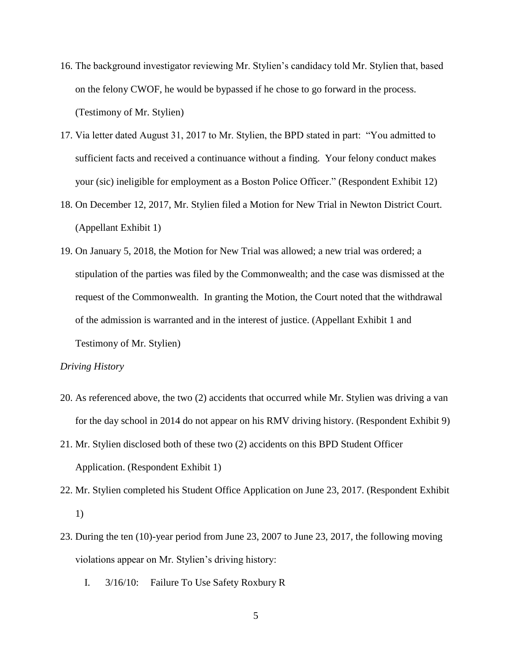- 16. The background investigator reviewing Mr. Stylien's candidacy told Mr. Stylien that, based on the felony CWOF, he would be bypassed if he chose to go forward in the process. (Testimony of Mr. Stylien)
- 17. Via letter dated August 31, 2017 to Mr. Stylien, the BPD stated in part: "You admitted to sufficient facts and received a continuance without a finding. Your felony conduct makes your (sic) ineligible for employment as a Boston Police Officer." (Respondent Exhibit 12)
- 18. On December 12, 2017, Mr. Stylien filed a Motion for New Trial in Newton District Court. (Appellant Exhibit 1)
- 19. On January 5, 2018, the Motion for New Trial was allowed; a new trial was ordered; a stipulation of the parties was filed by the Commonwealth; and the case was dismissed at the request of the Commonwealth. In granting the Motion, the Court noted that the withdrawal of the admission is warranted and in the interest of justice. (Appellant Exhibit 1 and Testimony of Mr. Stylien)

### *Driving History*

- 20. As referenced above, the two (2) accidents that occurred while Mr. Stylien was driving a van for the day school in 2014 do not appear on his RMV driving history. (Respondent Exhibit 9)
- 21. Mr. Stylien disclosed both of these two (2) accidents on this BPD Student Officer Application. (Respondent Exhibit 1)
- 22. Mr. Stylien completed his Student Office Application on June 23, 2017. (Respondent Exhibit 1)
- 23. During the ten (10)-year period from June 23, 2007 to June 23, 2017, the following moving violations appear on Mr. Stylien's driving history:
	- I. 3/16/10: Failure To Use Safety Roxbury R
		- 5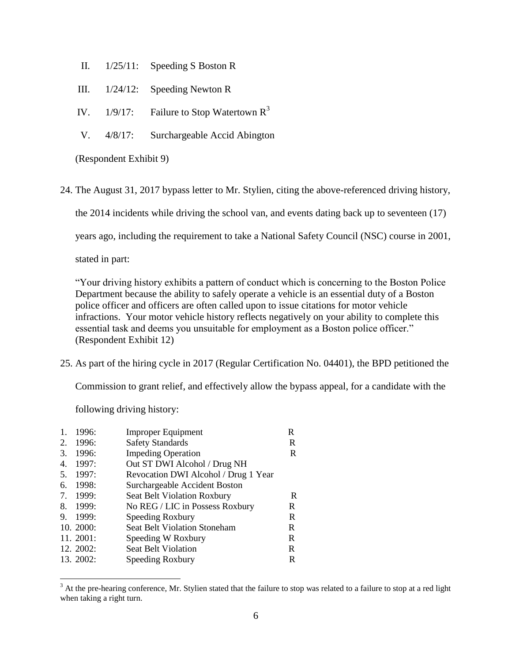- II. 1/25/11: Speeding S Boston R
- III. 1/24/12: Speeding Newton R
- IV.  $1/9/17$ : Failure to Stop Watertown  $R^3$
- V. 4/8/17: Surchargeable Accid Abington

(Respondent Exhibit 9)

24. The August 31, 2017 bypass letter to Mr. Stylien, citing the above-referenced driving history,

the 2014 incidents while driving the school van, and events dating back up to seventeen (17)

years ago, including the requirement to take a National Safety Council (NSC) course in 2001,

stated in part:

"Your driving history exhibits a pattern of conduct which is concerning to the Boston Police Department because the ability to safely operate a vehicle is an essential duty of a Boston police officer and officers are often called upon to issue citations for motor vehicle infractions. Your motor vehicle history reflects negatively on your ability to complete this essential task and deems you unsuitable for employment as a Boston police officer." (Respondent Exhibit 12)

25. As part of the hiring cycle in 2017 (Regular Certification No. 04401), the BPD petitioned the

Commission to grant relief, and effectively allow the bypass appeal, for a candidate with the

following driving history:

 $\overline{a}$ 

| 1.  | 1996:     | <b>Improper Equipment</b>            | R |
|-----|-----------|--------------------------------------|---|
| 2.  | 1996:     | <b>Safety Standards</b>              | R |
| 3.  | 1996:     | <b>Impeding Operation</b>            | R |
| 4.  | 1997:     | Out ST DWI Alcohol / Drug NH         |   |
| .5. | 1997:     | Revocation DWI Alcohol / Drug 1 Year |   |
| 6.  | 1998:     | Surchargeable Accident Boston        |   |
| 7.  | 1999:     | Seat Belt Violation Roxbury          | R |
| 8.  | 1999:     | No REG / LIC in Possess Roxbury      | R |
| 9.  | 1999:     | Speeding Roxbury                     | R |
|     | 10.2000:  | <b>Seat Belt Violation Stoneham</b>  | R |
|     | 11. 2001: | Speeding W Roxbury                   | R |
|     | 12. 2002: | <b>Seat Belt Violation</b>           | R |
|     | 13. 2002: | Speeding Roxbury                     | R |
|     |           |                                      |   |

 $3$  At the pre-hearing conference, Mr. Stylien stated that the failure to stop was related to a failure to stop at a red light when taking a right turn.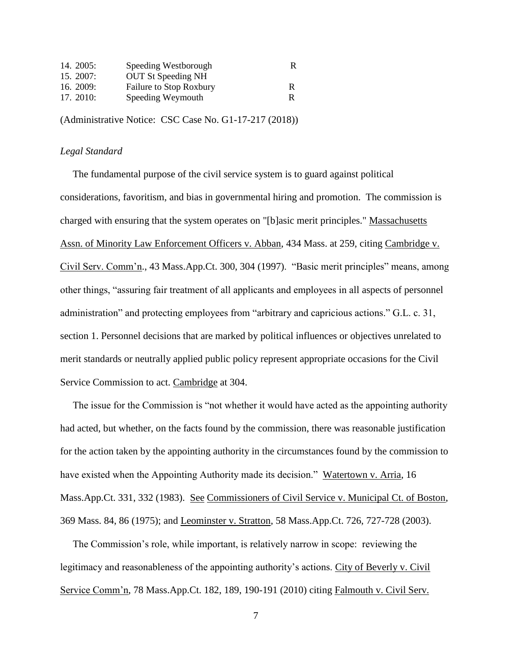| 14. 2005:   | Speeding Westborough      | R |
|-------------|---------------------------|---|
| 15.2007:    | <b>OUT St Speeding NH</b> |   |
| 16. $2009:$ | Failure to Stop Roxbury   | R |
| 17. 2010:   | Speeding Weymouth         |   |

(Administrative Notice: CSC Case No. G1-17-217 (2018))

## *Legal Standard*

 The fundamental purpose of the civil service system is to guard against political considerations, favoritism, and bias in governmental hiring and promotion. The commission is charged with ensuring that the system operates on "[b]asic merit principles." Massachusetts Assn. of Minority Law Enforcement Officers v. Abban, 434 Mass. at 259, citing Cambridge v. Civil Serv. Comm'n., 43 Mass.App.Ct. 300, 304 (1997). "Basic merit principles" means, among other things, "assuring fair treatment of all applicants and employees in all aspects of personnel administration" and protecting employees from "arbitrary and capricious actions." G.L. c. 31, section 1. Personnel decisions that are marked by political influences or objectives unrelated to merit standards or neutrally applied public policy represent appropriate occasions for the Civil Service Commission to act. Cambridge at 304.

 The issue for the Commission is "not whether it would have acted as the appointing authority had acted, but whether, on the facts found by the commission, there was reasonable justification for the action taken by the appointing authority in the circumstances found by the commission to have existed when the Appointing Authority made its decision." Watertown v. Arria, 16 Mass.App.Ct. 331, 332 (1983). See Commissioners of Civil Service v. Municipal Ct. of Boston, 369 Mass. 84, 86 (1975); and Leominster v. Stratton, 58 Mass.App.Ct. 726, 727-728 (2003).

 The Commission's role, while important, is relatively narrow in scope: reviewing the legitimacy and reasonableness of the appointing authority's actions. City of Beverly v. Civil Service Comm'n, 78 Mass.App.Ct. 182, 189, 190-191 (2010) citing Falmouth v. Civil Serv.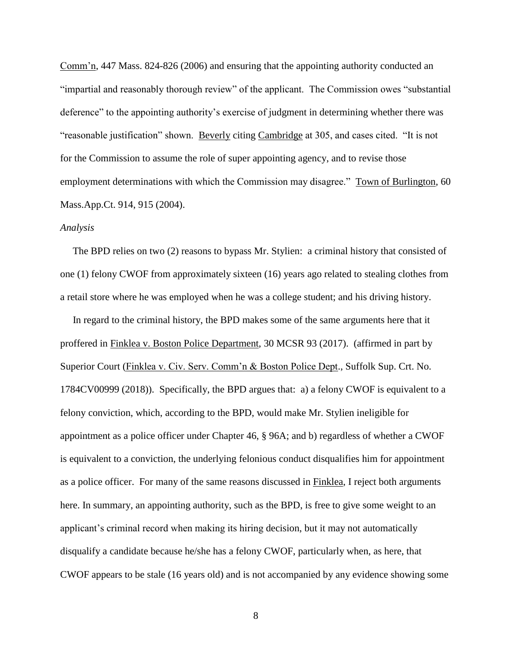Comm'n, 447 Mass. 824-826 (2006) and ensuring that the appointing authority conducted an "impartial and reasonably thorough review" of the applicant. The Commission owes "substantial deference" to the appointing authority's exercise of judgment in determining whether there was "reasonable justification" shown. Beverly citing Cambridge at 305, and cases cited. "It is not for the Commission to assume the role of super appointing agency, and to revise those employment determinations with which the Commission may disagree." Town of Burlington, 60 Mass.App.Ct. 914, 915 (2004).

#### *Analysis*

 The BPD relies on two (2) reasons to bypass Mr. Stylien: a criminal history that consisted of one (1) felony CWOF from approximately sixteen (16) years ago related to stealing clothes from a retail store where he was employed when he was a college student; and his driving history.

 In regard to the criminal history, the BPD makes some of the same arguments here that it proffered in Finklea v. Boston Police Department, 30 MCSR 93 (2017). (affirmed in part by Superior Court (Finklea v. Civ. Serv. Comm'n & Boston Police Dept., Suffolk Sup. Crt. No. 1784CV00999 (2018)). Specifically, the BPD argues that: a) a felony CWOF is equivalent to a felony conviction, which, according to the BPD, would make Mr. Stylien ineligible for appointment as a police officer under Chapter 46, § 96A; and b) regardless of whether a CWOF is equivalent to a conviction, the underlying felonious conduct disqualifies him for appointment as a police officer. For many of the same reasons discussed in Finklea, I reject both arguments here. In summary, an appointing authority, such as the BPD, is free to give some weight to an applicant's criminal record when making its hiring decision, but it may not automatically disqualify a candidate because he/she has a felony CWOF, particularly when, as here, that CWOF appears to be stale (16 years old) and is not accompanied by any evidence showing some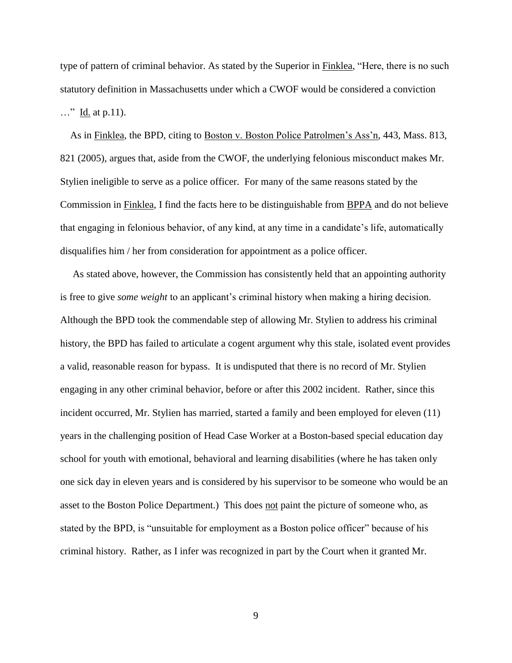type of pattern of criminal behavior. As stated by the Superior in Finklea, "Here, there is no such statutory definition in Massachusetts under which a CWOF would be considered a conviction …" Id. at p.11).

 As in Finklea, the BPD, citing to Boston v. Boston Police Patrolmen's Ass'n, 443, Mass. 813, 821 (2005), argues that, aside from the CWOF, the underlying felonious misconduct makes Mr. Stylien ineligible to serve as a police officer. For many of the same reasons stated by the Commission in Finklea, I find the facts here to be distinguishable from BPPA and do not believe that engaging in felonious behavior, of any kind, at any time in a candidate's life, automatically disqualifies him / her from consideration for appointment as a police officer.

 As stated above, however, the Commission has consistently held that an appointing authority is free to give *some weight* to an applicant's criminal history when making a hiring decision. Although the BPD took the commendable step of allowing Mr. Stylien to address his criminal history, the BPD has failed to articulate a cogent argument why this stale, isolated event provides a valid, reasonable reason for bypass. It is undisputed that there is no record of Mr. Stylien engaging in any other criminal behavior, before or after this 2002 incident. Rather, since this incident occurred, Mr. Stylien has married, started a family and been employed for eleven (11) years in the challenging position of Head Case Worker at a Boston-based special education day school for youth with emotional, behavioral and learning disabilities (where he has taken only one sick day in eleven years and is considered by his supervisor to be someone who would be an asset to the Boston Police Department.) This does not paint the picture of someone who, as stated by the BPD, is "unsuitable for employment as a Boston police officer" because of his criminal history. Rather, as I infer was recognized in part by the Court when it granted Mr.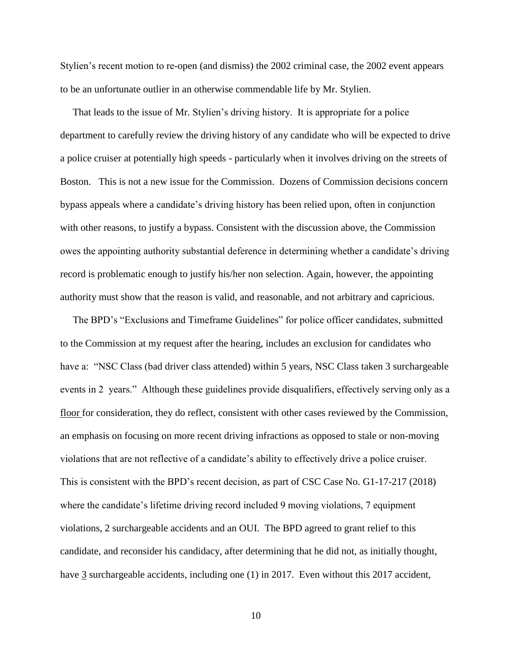Stylien's recent motion to re-open (and dismiss) the 2002 criminal case, the 2002 event appears to be an unfortunate outlier in an otherwise commendable life by Mr. Stylien.

 That leads to the issue of Mr. Stylien's driving history. It is appropriate for a police department to carefully review the driving history of any candidate who will be expected to drive a police cruiser at potentially high speeds - particularly when it involves driving on the streets of Boston. This is not a new issue for the Commission. Dozens of Commission decisions concern bypass appeals where a candidate's driving history has been relied upon, often in conjunction with other reasons, to justify a bypass. Consistent with the discussion above, the Commission owes the appointing authority substantial deference in determining whether a candidate's driving record is problematic enough to justify his/her non selection. Again, however, the appointing authority must show that the reason is valid, and reasonable, and not arbitrary and capricious.

 The BPD's "Exclusions and Timeframe Guidelines" for police officer candidates, submitted to the Commission at my request after the hearing, includes an exclusion for candidates who have a: "NSC Class (bad driver class attended) within 5 years, NSC Class taken 3 surchargeable events in 2 years." Although these guidelines provide disqualifiers, effectively serving only as a floor for consideration, they do reflect, consistent with other cases reviewed by the Commission, an emphasis on focusing on more recent driving infractions as opposed to stale or non-moving violations that are not reflective of a candidate's ability to effectively drive a police cruiser. This is consistent with the BPD's recent decision, as part of CSC Case No. G1-17-217 (2018) where the candidate's lifetime driving record included 9 moving violations, 7 equipment violations, 2 surchargeable accidents and an OUI. The BPD agreed to grant relief to this candidate, and reconsider his candidacy, after determining that he did not, as initially thought, have 3 surchargeable accidents, including one (1) in 2017. Even without this 2017 accident,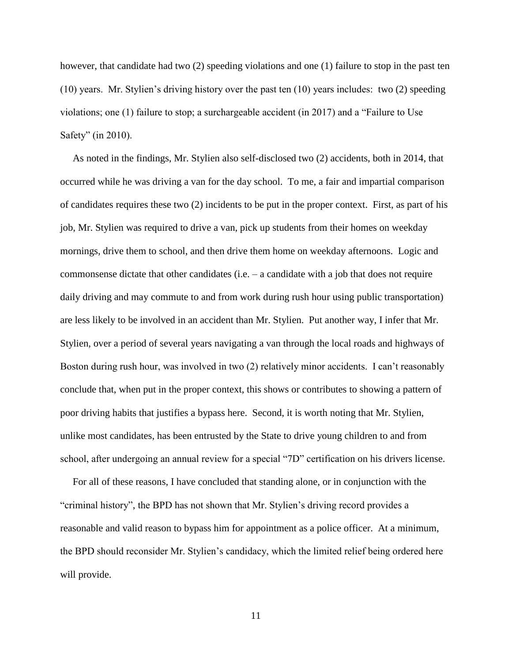however, that candidate had two (2) speeding violations and one (1) failure to stop in the past ten (10) years. Mr. Stylien's driving history over the past ten (10) years includes: two (2) speeding violations; one (1) failure to stop; a surchargeable accident (in 2017) and a "Failure to Use Safety" (in 2010).

 As noted in the findings, Mr. Stylien also self-disclosed two (2) accidents, both in 2014, that occurred while he was driving a van for the day school. To me, a fair and impartial comparison of candidates requires these two (2) incidents to be put in the proper context. First, as part of his job, Mr. Stylien was required to drive a van, pick up students from their homes on weekday mornings, drive them to school, and then drive them home on weekday afternoons. Logic and commonsense dictate that other candidates (i.e. – a candidate with a job that does not require daily driving and may commute to and from work during rush hour using public transportation) are less likely to be involved in an accident than Mr. Stylien. Put another way, I infer that Mr. Stylien, over a period of several years navigating a van through the local roads and highways of Boston during rush hour, was involved in two (2) relatively minor accidents. I can't reasonably conclude that, when put in the proper context, this shows or contributes to showing a pattern of poor driving habits that justifies a bypass here. Second, it is worth noting that Mr. Stylien, unlike most candidates, has been entrusted by the State to drive young children to and from school, after undergoing an annual review for a special "7D" certification on his drivers license.

 For all of these reasons, I have concluded that standing alone, or in conjunction with the "criminal history", the BPD has not shown that Mr. Stylien's driving record provides a reasonable and valid reason to bypass him for appointment as a police officer. At a minimum, the BPD should reconsider Mr. Stylien's candidacy, which the limited relief being ordered here will provide.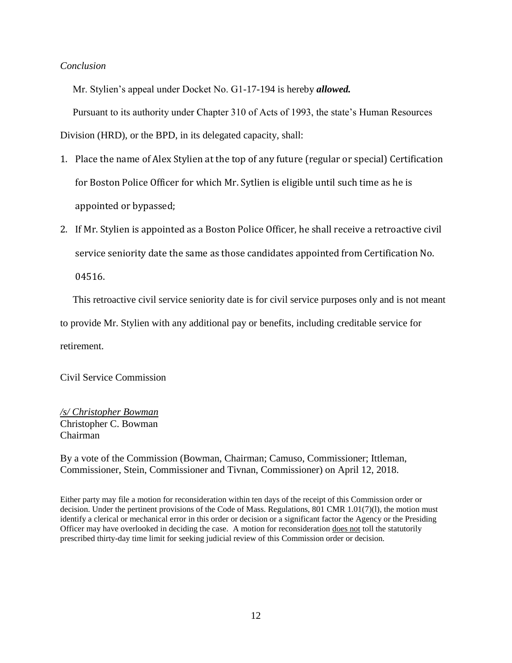### *Conclusion*

Mr. Stylien's appeal under Docket No. G1-17-194 is hereby *allowed.*

Pursuant to its authority under Chapter 310 of Acts of 1993, the state's Human Resources

Division (HRD), or the BPD, in its delegated capacity, shall:

- 1. Place the name of Alex Stylien at the top of any future (regular or special) Certification for Boston Police Officer for which Mr. Sytlien is eligible until such time as he is appointed or bypassed;
- 2. If Mr. Stylien is appointed as a Boston Police Officer, he shall receive a retroactive civil service seniority date the same as those candidates appointed from Certification No.

04516.

This retroactive civil service seniority date is for civil service purposes only and is not meant

to provide Mr. Stylien with any additional pay or benefits, including creditable service for

retirement.

Civil Service Commission

*/s/ Christopher Bowman* Christopher C. Bowman Chairman

By a vote of the Commission (Bowman, Chairman; Camuso, Commissioner; Ittleman, Commissioner, Stein, Commissioner and Tivnan, Commissioner) on April 12, 2018.

Either party may file a motion for reconsideration within ten days of the receipt of this Commission order or decision. Under the pertinent provisions of the Code of Mass. Regulations, 801 CMR 1.01(7)(l), the motion must identify a clerical or mechanical error in this order or decision or a significant factor the Agency or the Presiding Officer may have overlooked in deciding the case. A motion for reconsideration does not toll the statutorily prescribed thirty-day time limit for seeking judicial review of this Commission order or decision.